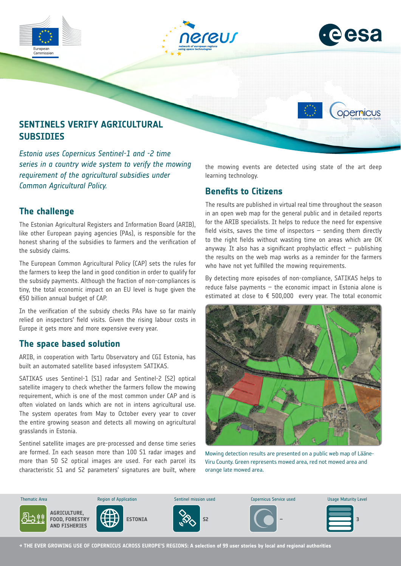





opernicus

# **SENTINELS VERIFY AGRICULTURAL SUBSIDIES**

*Estonia uses Copernicus Sentinel-1 and -2 time series in a country wide system to verify the mowing requirement of the agricultural subsidies under Common Agricultural Policy.*

## **The challenge**

The Estonian Agricultural Registers and Information Board (ARIB), like other European paying agencies (PAs), is responsible for the honest sharing of the subsidies to farmers and the verification of the subsidy claims.

The European Common Agricultural Policy (CAP) sets the rules for the farmers to keep the land in good condition in order to qualify for the subsidy payments. Although the fraction of non-compliances is tiny, the total economic impact on an EU level is huge given the €50 billion annual budget of CAP.

In the verification of the subsidy checks PAs have so far mainly relied on inspectors' field visits. Given the rising labour costs in Europe it gets more and more expensive every year.

### **The space based solution**

ARIB, in cooperation with Tartu Observatory and CGI Estonia, has built an automated satellite based infosystem SATIKAS.

SATIKAS uses Sentinel-1 (S1) radar and Sentinel-2 (S2) optical satellite imagery to check whether the farmers follow the mowing requirement, which is one of the most common under CAP and is often violated on lands which are not in intens agricultural use. The system operates from May to October every year to cover the entire growing season and detects all mowing on agricultural grasslands in Estonia.

Sentinel satellite images are pre-processed and dense time series are formed. In each season more than 100 S1 radar images and more than 50 S2 optical images are used. For each parcel its characteristic S1 and S2 parameters' signatures are built, where

the mowing events are detected using state of the art deep learning technology.

### **Benefits to Citizens**

The results are published in virtual real time throughout the season in an open web map for the general public and in detailed reports for the ARIB specialists. It helps to reduce the need for expensive field visits, saves the time of inspectors  $-$  sending them directly to the right fields without wasting time on areas which are OK anyway. It also has a significant prophylactic effect  $-$  publishing the results on the web map works as a reminder for the farmers who have not yet fulfilled the mowing requirements.

By detecting more episodes of non-compliance, SATIKAS helps to reduce false payments – the economic impact in Estonia alone is estimated at close to € 500,000 every year. The total economic



Mowing detection results are presented on a public web map of Lääne-Viru County. Green represents mowed area, red not mowed area and orange late mowed area.



**→ THE EVER GROWING USE OF COPERNICUS ACROSS EUROPE'S REGIONS: A selection of 99 user stories by local and regional authorities**